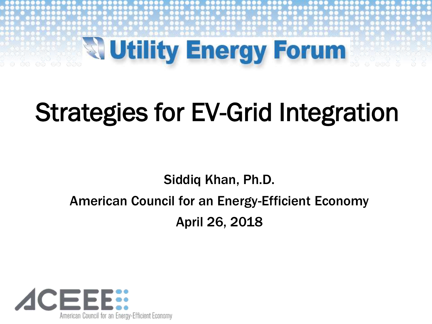

# Strategies for EV-Grid Integration

#### Siddiq Khan, Ph.D. American Council for an Energy-Efficient Economy April 26, 2018

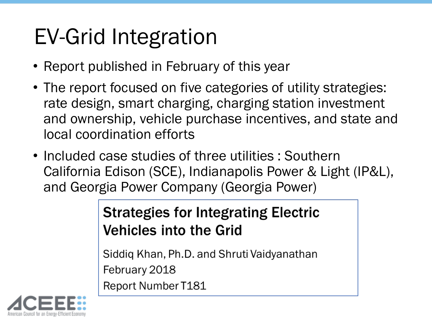## EV-Grid Integration

- Report published in February of this year
- The report focused on five categories of utility strategies: rate design, smart charging, charging station investment and ownership, vehicle purchase incentives, and state and local coordination efforts
- Included case studies of three utilities : Southern California Edison (SCE), Indianapolis Power & Light (IP&L), and Georgia Power Company (Georgia Power)

#### **Strategies for Integrating Electric Vehicles into the Grid**

Siddiq Khan, Ph.D. and Shruti Vaidyanathan February 2018 Report Number T181

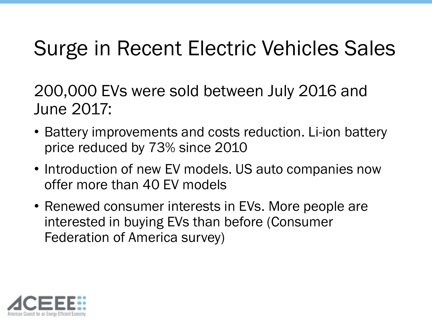### Surge in Recent Electric Vehicles Sales

200,000 EVs were sold between July 2016 and June 2017:

- Battery improvements and costs reduction. Li-ion battery price reduced by 73% since 2010
- Introduction of new EV models. US auto companies now offer more than 40 EV models
- Renewed consumer interests in EVs. More people are interested in buying EVs than before (Consumer Federation of America survey)

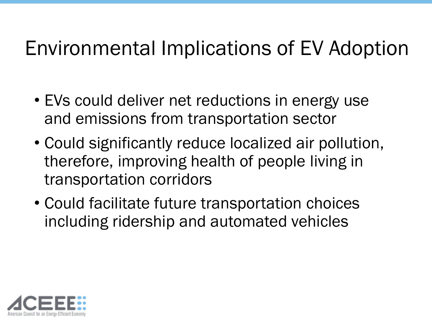### Environmental Implications of EV Adoption

- EVs could deliver net reductions in energy use and emissions from transportation sector
- Could significantly reduce localized air pollution, therefore, improving health of people living in transportation corridors
- Could facilitate future transportation choices including ridership and automated vehicles

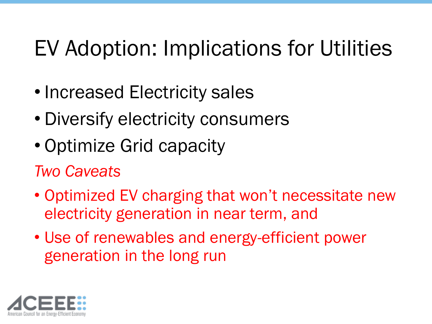## EV Adoption: Implications for Utilities

- Increased Electricity sales
- Diversify electricity consumers
- Optimize Grid capacity
- *Two Caveats*
- Optimized EV charging that won't necessitate new electricity generation in near term, and
- Use of renewables and energy-efficient power generation in the long run

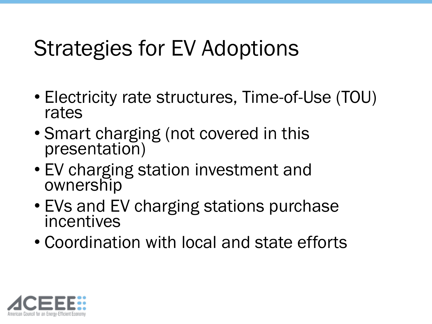### Strategies for EV Adoptions

- Electricity rate structures, Time-of-Use (TOU) rates
- Smart charging (not covered in this presentation)
- EV charging station investment and ownership
- EVs and EV charging stations purchase incentives
- Coordination with local and state efforts

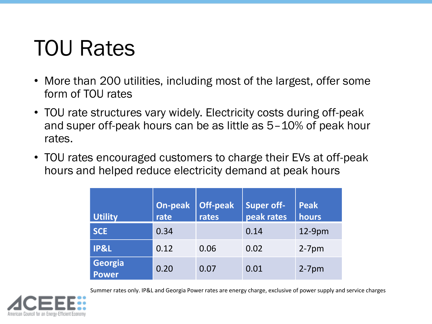### TOU Rates

- More than 200 utilities, including most of the largest, offer some form of TOU rates
- TOU rate structures vary widely. Electricity costs during off-peak and super off-peak hours can be as little as 5–10% of peak hour rates.
- TOU rates encouraged customers to charge their EVs at off-peak hours and helped reduce electricity demand at peak hours

| <b>Utility</b>   | On-peak<br>rate | <b>Off-peak</b><br>rates | <b>Super off-</b><br>peak rates | <b>Peak</b><br>hours |
|------------------|-----------------|--------------------------|---------------------------------|----------------------|
| <b>SCE</b>       | 0.34            |                          | 0.14                            | $12-9$ pm            |
| <b>IP&amp;L</b>  | 0.12            | 0.06                     | 0.02                            | $2-7$ pm             |
| Georgia<br>Power | 0.20            | 0.07                     | 0.01                            | $2-7$ pm             |

Summer rates only. IP&L and Georgia Power rates are energy charge, exclusive of power supply and service charges

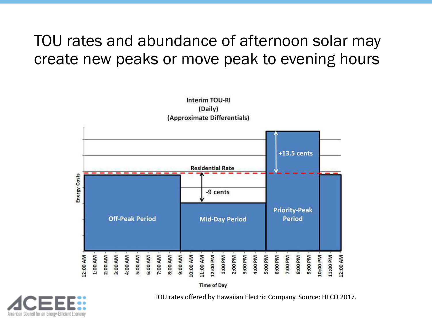#### TOU rates and abundance of afternoon solar may create new peaks or move peak to evening hours



(Daily)

**Interim TOU-RI** 

**Time of Day** 



TOU rates offered by Hawaiian Electric Company. Source: HECO 2017.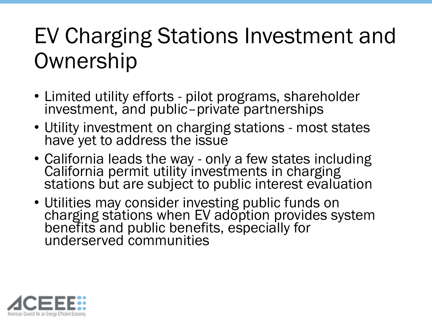### EV Charging Stations Investment and **Ownership**

- Limited utility efforts pilot programs, shareholder investment, and public–private partnerships
- Utility investment on charging stations most states have yet to address the issue
- California leads the way only a few states including California permit utility investments in charging stations but are subject to public interest evaluation
- Utilities may consider investing public funds on charging stations when EV adoption provides system benefits and public benefits, especially for underserved communities

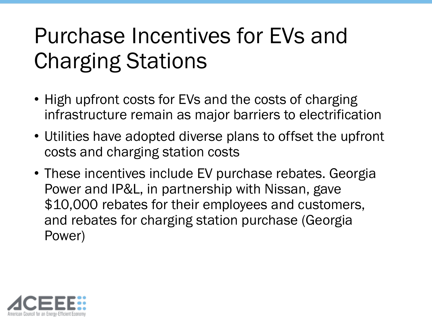### Purchase Incentives for EVs and Charging Stations

- High upfront costs for EVs and the costs of charging infrastructure remain as major barriers to electrification
- Utilities have adopted diverse plans to offset the upfront costs and charging station costs
- These incentives include EV purchase rebates. Georgia Power and IP&L, in partnership with Nissan, gave \$10,000 rebates for their employees and customers, and rebates for charging station purchase (Georgia Power)

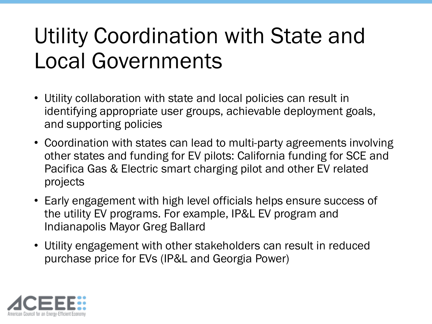### Utility Coordination with State and Local Governments

- Utility collaboration with state and local policies can result in identifying appropriate user groups, achievable deployment goals, and supporting policies
- Coordination with states can lead to multi-party agreements involving other states and funding for EV pilots: California funding for SCE and Pacifica Gas & Electric smart charging pilot and other EV related projects
- Early engagement with high level officials helps ensure success of the utility EV programs. For example, IP&L EV program and Indianapolis Mayor Greg Ballard
- Utility engagement with other stakeholders can result in reduced purchase price for EVs (IP&L and Georgia Power)

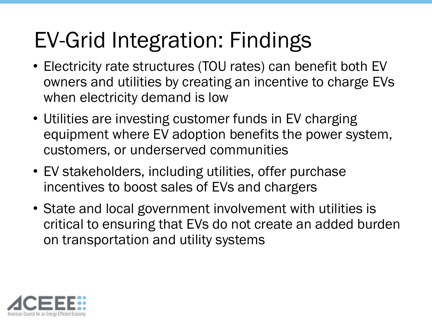## EV-Grid Integration: Findings

- Electricity rate structures (TOU rates) can benefit both EV owners and utilities by creating an incentive to charge EVs when electricity demand is low
- Utilities are investing customer funds in EV charging equipment where EV adoption benefits the power system, customers, or underserved communities
- EV stakeholders, including utilities, offer purchase incentives to boost sales of EVs and chargers
- State and local government involvement with utilities is critical to ensuring that EVs do not create an added burden on transportation and utility systems

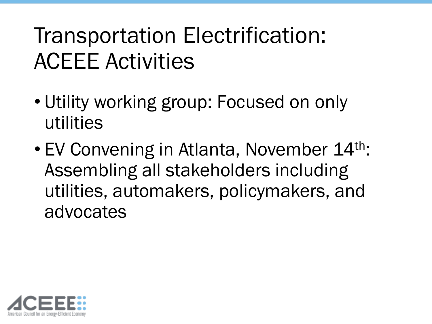## Transportation Electrification: ACEEE Activities

- Utility working group: Focused on only utilities
- EV Convening in Atlanta, November 14<sup>th</sup>: Assembling all stakeholders including utilities, automakers, policymakers, and advocates